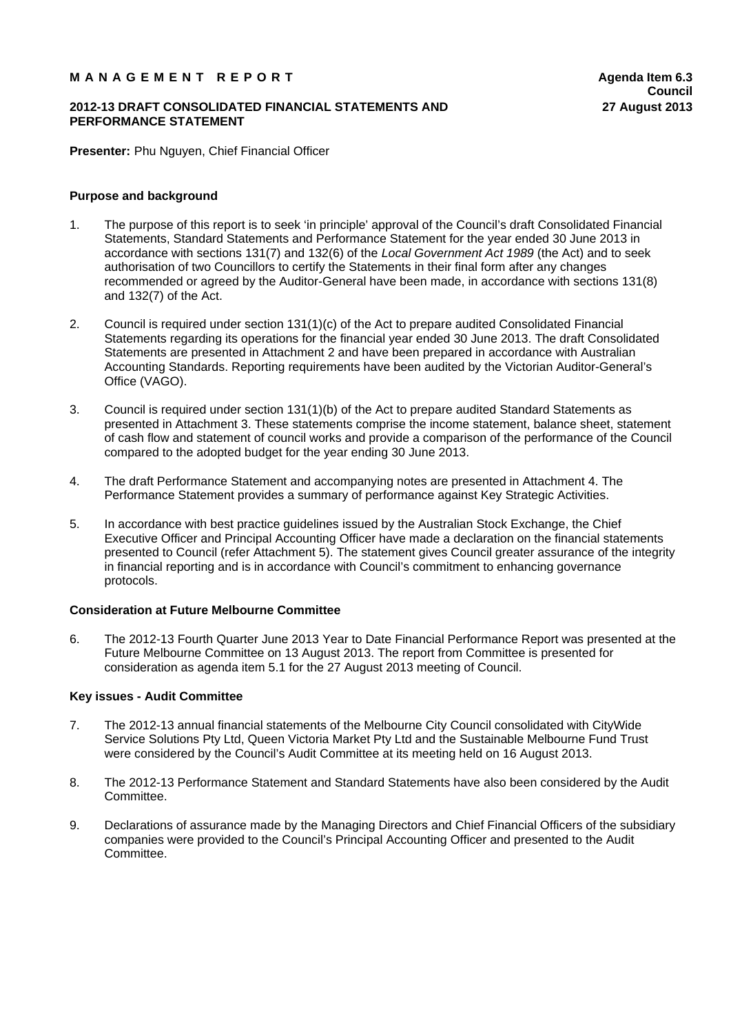# M A N A G E M E N T R E P O R T **Agent A**genda Item 6.3

## **2012-13 DRAFT CONSOLIDATED FINANCIAL STATEMENTS AND PERFORMANCE STATEMENT**

**Presenter:** Phu Nguyen, Chief Financial Officer

## **Purpose and background**

- 1. The purpose of this report is to seek 'in principle' approval of the Council's draft Consolidated Financial Statements, Standard Statements and Performance Statement for the year ended 30 June 2013 in accordance with sections 131(7) and 132(6) of the *Local Government Act 1989* (the Act) and to seek authorisation of two Councillors to certify the Statements in their final form after any changes recommended or agreed by the Auditor-General have been made, in accordance with sections 131(8) and 132(7) of the Act.
- 2. Council is required under section 131(1)(c) of the Act to prepare audited Consolidated Financial Statements regarding its operations for the financial year ended 30 June 2013. The draft Consolidated Statements are presented in Attachment 2 and have been prepared in accordance with Australian Accounting Standards. Reporting requirements have been audited by the Victorian Auditor-General's Office (VAGO).
- 3. Council is required under section 131(1)(b) of the Act to prepare audited Standard Statements as presented in Attachment 3. These statements comprise the income statement, balance sheet, statement of cash flow and statement of council works and provide a comparison of the performance of the Council compared to the adopted budget for the year ending 30 June 2013.
- 4. The draft Performance Statement and accompanying notes are presented in Attachment 4. The Performance Statement provides a summary of performance against Key Strategic Activities.
- 5. In accordance with best practice guidelines issued by the Australian Stock Exchange, the Chief Executive Officer and Principal Accounting Officer have made a declaration on the financial statements presented to Council (refer Attachment 5). The statement gives Council greater assurance of the integrity in financial reporting and is in accordance with Council's commitment to enhancing governance protocols.

## **Consideration at Future Melbourne Committee**

6. The 2012-13 Fourth Quarter June 2013 Year to Date Financial Performance Report was presented at the Future Melbourne Committee on 13 August 2013. The report from Committee is presented for consideration as agenda item 5.1 for the 27 August 2013 meeting of Council.

## **Key issues - Audit Committee**

- 7. The 2012-13 annual financial statements of the Melbourne City Council consolidated with CityWide Service Solutions Pty Ltd, Queen Victoria Market Pty Ltd and the Sustainable Melbourne Fund Trust were considered by the Council's Audit Committee at its meeting held on 16 August 2013.
- 8. The 2012-13 Performance Statement and Standard Statements have also been considered by the Audit Committee.
- 9. Declarations of assurance made by the Managing Directors and Chief Financial Officers of the subsidiary companies were provided to the Council's Principal Accounting Officer and presented to the Audit Committee.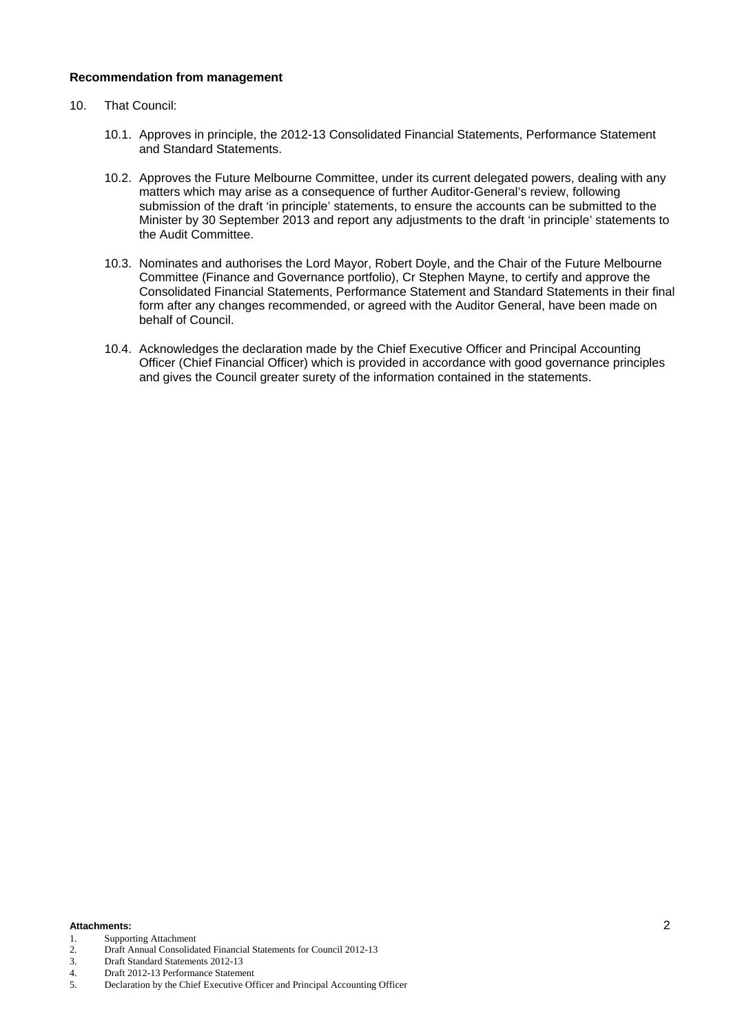## **Recommendation from management**

- 10. That Council:
	- 10.1. Approves in principle, the 2012-13 Consolidated Financial Statements, Performance Statement and Standard Statements.
	- 10.2. Approves the Future Melbourne Committee, under its current delegated powers, dealing with any matters which may arise as a consequence of further Auditor-General's review, following submission of the draft 'in principle' statements, to ensure the accounts can be submitted to the Minister by 30 September 2013 and report any adjustments to the draft 'in principle' statements to the Audit Committee.
	- 10.3. Nominates and authorises the Lord Mayor, Robert Doyle, and the Chair of the Future Melbourne Committee (Finance and Governance portfolio), Cr Stephen Mayne, to certify and approve the Consolidated Financial Statements, Performance Statement and Standard Statements in their final form after any changes recommended, or agreed with the Auditor General, have been made on behalf of Council.
	- 10.4. Acknowledges the declaration made by the Chief Executive Officer and Principal Accounting Officer (Chief Financial Officer) which is provided in accordance with good governance principles and gives the Council greater surety of the information contained in the statements.

#### **Attachments:** 2

- 1. Supporting Attachment
- 2. Draft Annual Consolidated Financial Statements for Council 2012-13
- 3. Draft Standard Statements 2012-13
- 4. Draft 2012-13 Performance Statement
- 5. Declaration by the Chief Executive Officer and Principal Accounting Officer